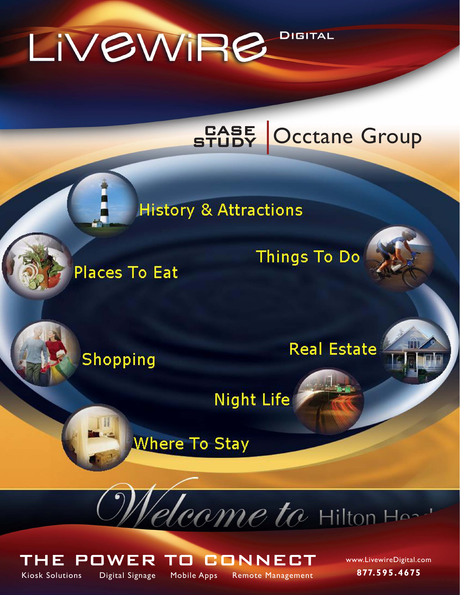

# **STUDY Occtane Group**

**History & Attractions** 

**Places To Eat** 

**Things To Do** 



Shopping

**Real Estate** 

**Night Life** 

**Where To Stay** 

elcome to Hilton Hosp



TH 2

POWER

**TO CONNECT** 

www.LivewireDigital.com **877.595.4675**